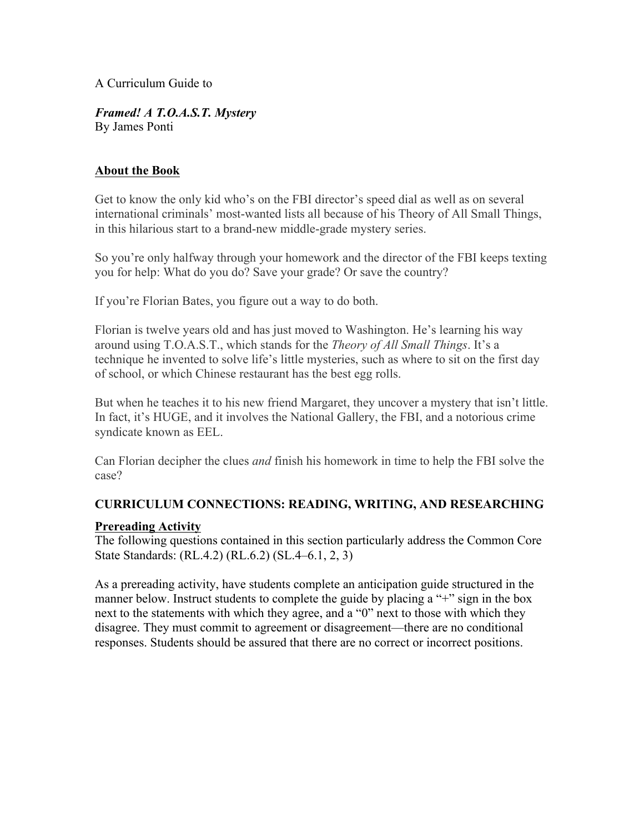A Curriculum Guide to

*Framed! A T.O.A.S.T. Mystery* By James Ponti

## **About the Book**

Get to know the only kid who's on the FBI director's speed dial as well as on several international criminals' most-wanted lists all because of his Theory of All Small Things, in this hilarious start to a brand-new middle-grade mystery series.

So you're only halfway through your homework and the director of the FBI keeps texting you for help: What do you do? Save your grade? Or save the country?

If you're Florian Bates, you figure out a way to do both.

Florian is twelve years old and has just moved to Washington. He's learning his way around using T.O.A.S.T., which stands for the *Theory of All Small Things*. It's a technique he invented to solve life's little mysteries, such as where to sit on the first day of school, or which Chinese restaurant has the best egg rolls.

But when he teaches it to his new friend Margaret, they uncover a mystery that isn't little. In fact, it's HUGE, and it involves the National Gallery, the FBI, and a notorious crime syndicate known as EEL.

Can Florian decipher the clues *and* finish his homework in time to help the FBI solve the case?

## **CURRICULUM CONNECTIONS: READING, WRITING, AND RESEARCHING**

## **Prereading Activity**

The following questions contained in this section particularly address the Common Core State Standards: (RL.4.2) (RL.6.2) (SL.4–6.1, 2, 3)

As a prereading activity, have students complete an anticipation guide structured in the manner below. Instruct students to complete the guide by placing a "+" sign in the box next to the statements with which they agree, and a "0" next to those with which they disagree. They must commit to agreement or disagreement—there are no conditional responses. Students should be assured that there are no correct or incorrect positions.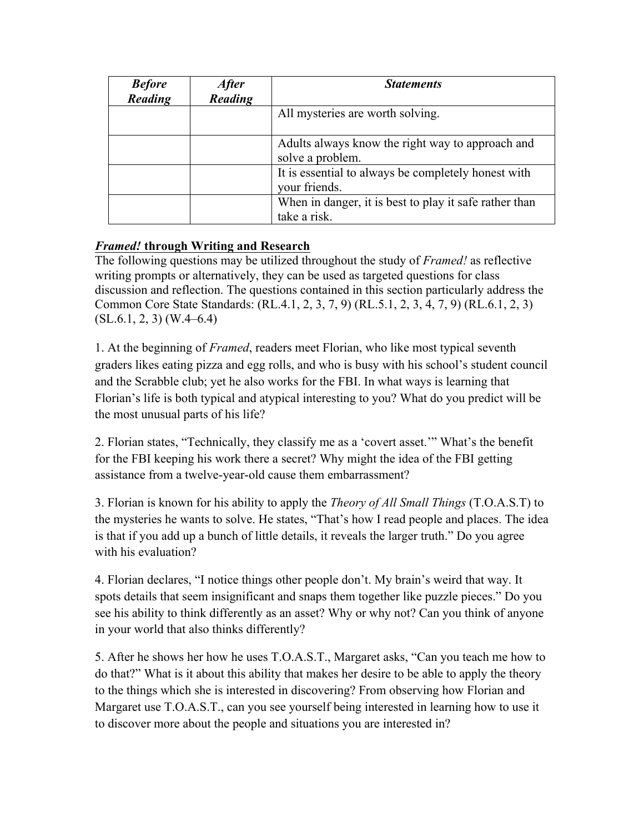| <b>Before</b> | <i><b>After</b></i> | <b>Statements</b>                                                      |
|---------------|---------------------|------------------------------------------------------------------------|
| Reading       | Reading             |                                                                        |
|               |                     | All mysteries are worth solving.                                       |
|               |                     | Adults always know the right way to approach and<br>solve a problem.   |
|               |                     | It is essential to always be completely honest with<br>your friends.   |
|               |                     | When in danger, it is best to play it safe rather than<br>take a risk. |

# *Framed!* **through Writing and Research**

The following questions may be utilized throughout the study of *Framed!* as reflective writing prompts or alternatively, they can be used as targeted questions for class discussion and reflection. The questions contained in this section particularly address the Common Core State Standards: (RL.4.1, 2, 3, 7, 9) (RL.5.1, 2, 3, 4, 7, 9) (RL.6.1, 2, 3)  $(SL.6.1, 2, 3)$   $(W.4–6.4)$ 

1. At the beginning of *Framed*, readers meet Florian, who like most typical seventh graders likes eating pizza and egg rolls, and who is busy with his school's student council and the Scrabble club; yet he also works for the FBI. In what ways is learning that Florian's life is both typical and atypical interesting to you? What do you predict will be the most unusual parts of his life?

2. Florian states, "Technically, they classify me as a 'covert asset.'" What's the benefit for the FBI keeping his work there a secret? Why might the idea of the FBI getting assistance from a twelve-year-old cause them embarrassment?

3. Florian is known for his ability to apply the *Theory of All Small Things* (T.O.A.S.T) to the mysteries he wants to solve. He states, "That's how I read people and places. The idea is that if you add up a bunch of little details, it reveals the larger truth." Do you agree with his evaluation?

4. Florian declares, "I notice things other people don't. My brain's weird that way. It spots details that seem insignificant and snaps them together like puzzle pieces." Do you see his ability to think differently as an asset? Why or why not? Can you think of anyone in your world that also thinks differently?

5. After he shows her how he uses T.O.A.S.T., Margaret asks, "Can you teach me how to do that?" What is it about this ability that makes her desire to be able to apply the theory to the things which she is interested in discovering? From observing how Florian and Margaret use T.O.A.S.T., can you see yourself being interested in learning how to use it to discover more about the people and situations you are interested in?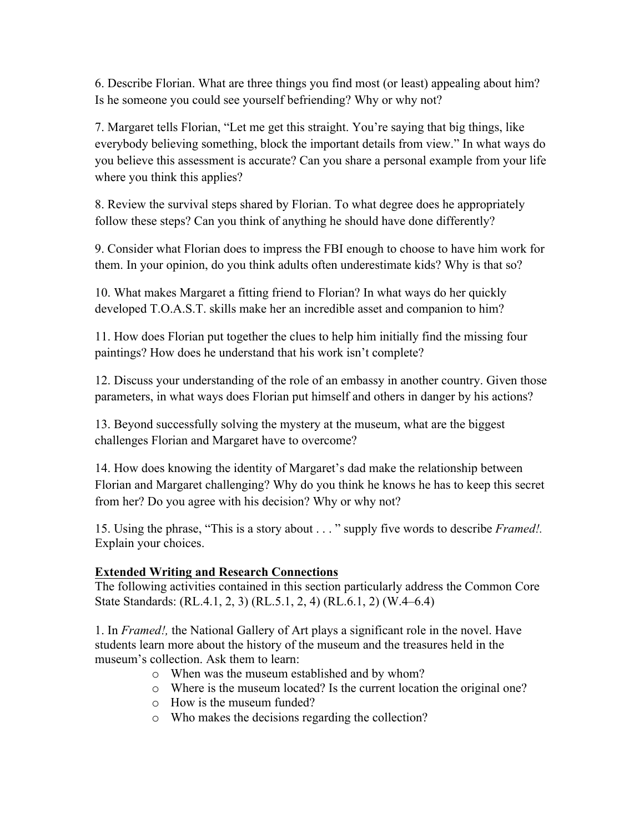6. Describe Florian. What are three things you find most (or least) appealing about him? Is he someone you could see yourself befriending? Why or why not?

7. Margaret tells Florian, "Let me get this straight. You're saying that big things, like everybody believing something, block the important details from view." In what ways do you believe this assessment is accurate? Can you share a personal example from your life where you think this applies?

8. Review the survival steps shared by Florian. To what degree does he appropriately follow these steps? Can you think of anything he should have done differently?

9. Consider what Florian does to impress the FBI enough to choose to have him work for them. In your opinion, do you think adults often underestimate kids? Why is that so?

10. What makes Margaret a fitting friend to Florian? In what ways do her quickly developed T.O.A.S.T. skills make her an incredible asset and companion to him?

11. How does Florian put together the clues to help him initially find the missing four paintings? How does he understand that his work isn't complete?

12. Discuss your understanding of the role of an embassy in another country. Given those parameters, in what ways does Florian put himself and others in danger by his actions?

13. Beyond successfully solving the mystery at the museum, what are the biggest challenges Florian and Margaret have to overcome?

14. How does knowing the identity of Margaret's dad make the relationship between Florian and Margaret challenging? Why do you think he knows he has to keep this secret from her? Do you agree with his decision? Why or why not?

15. Using the phrase, "This is a story about . . . " supply five words to describe *Framed!.* Explain your choices.

## **Extended Writing and Research Connections**

The following activities contained in this section particularly address the Common Core State Standards: (RL.4.1, 2, 3) (RL.5.1, 2, 4) (RL.6.1, 2) (W.4–6.4)

1. In *Framed!,* the National Gallery of Art plays a significant role in the novel. Have students learn more about the history of the museum and the treasures held in the museum's collection. Ask them to learn:

- o When was the museum established and by whom?
- o Where is the museum located? Is the current location the original one?
- o How is the museum funded?
- o Who makes the decisions regarding the collection?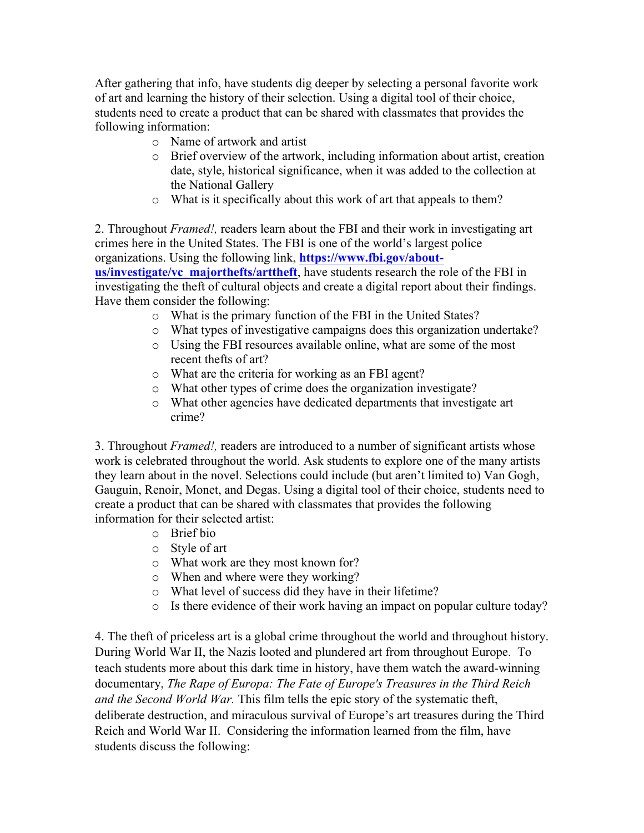After gathering that info, have students dig deeper by selecting a personal favorite work of art and learning the history of their selection. Using a digital tool of their choice, students need to create a product that can be shared with classmates that provides the following information:

- o Name of artwork and artist
- o Brief overview of the artwork, including information about artist, creation date, style, historical significance, when it was added to the collection at the National Gallery
- o What is it specifically about this work of art that appeals to them?

2. Throughout *Framed!,* readers learn about the FBI and their work in investigating art crimes here in the United States. The FBI is one of the world's largest police organizations. Using the following link, **https://www.fbi.gov/aboutus/investigate/vc\_majorthefts/arttheft**, have students research the role of the FBI in investigating the theft of cultural objects and create a digital report about their findings. Have them consider the following:

- o What is the primary function of the FBI in the United States?
- o What types of investigative campaigns does this organization undertake?
- o Using the FBI resources available online, what are some of the most recent thefts of art?
- o What are the criteria for working as an FBI agent?
- o What other types of crime does the organization investigate?
- o What other agencies have dedicated departments that investigate art crime?

3. Throughout *Framed!,* readers are introduced to a number of significant artists whose work is celebrated throughout the world. Ask students to explore one of the many artists they learn about in the novel. Selections could include (but aren't limited to) Van Gogh, Gauguin, Renoir, Monet, and Degas. Using a digital tool of their choice, students need to create a product that can be shared with classmates that provides the following information for their selected artist:

- o Brief bio
- o Style of art
- o What work are they most known for?
- o When and where were they working?
- o What level of success did they have in their lifetime?
- o Is there evidence of their work having an impact on popular culture today?

4. The theft of priceless art is a global crime throughout the world and throughout history. During World War II, the Nazis looted and plundered art from throughout Europe. To teach students more about this dark time in history, have them watch the award-winning documentary, *The Rape of Europa: The Fate of Europe's Treasures in the Third Reich and the Second World War.* This film tells the epic story of the systematic theft, deliberate destruction, and miraculous survival of Europe's art treasures during the Third Reich and World War II. Considering the information learned from the film, have students discuss the following: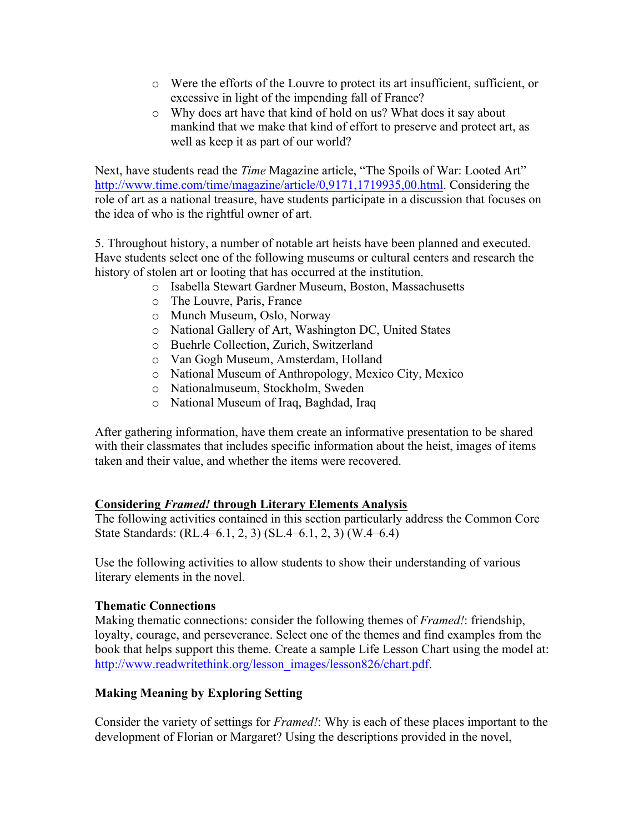- o Were the efforts of the Louvre to protect its art insufficient, sufficient, or excessive in light of the impending fall of France?
- o Why does art have that kind of hold on us? What does it say about mankind that we make that kind of effort to preserve and protect art, as well as keep it as part of our world?

Next, have students read the *Time* Magazine article, "The Spoils of War: Looted Art" http://www.time.com/time/magazine/article/0,9171,1719935,00.html. Considering the role of art as a national treasure, have students participate in a discussion that focuses on the idea of who is the rightful owner of art.

5. Throughout history, a number of notable art heists have been planned and executed. Have students select one of the following museums or cultural centers and research the history of stolen art or looting that has occurred at the institution.

- o Isabella Stewart Gardner Museum, Boston, Massachusetts
- o The Louvre, Paris, France
- o Munch Museum, Oslo, Norway
- o National Gallery of Art, Washington DC, United States
- o Buehrle Collection, Zurich, Switzerland
- o Van Gogh Museum, Amsterdam, Holland
- o National Museum of Anthropology, Mexico City, Mexico
- o Nationalmuseum, Stockholm, Sweden
- o National Museum of Iraq, Baghdad, Iraq

After gathering information, have them create an informative presentation to be shared with their classmates that includes specific information about the heist, images of items taken and their value, and whether the items were recovered.

### **Considering** *Framed!* **through Literary Elements Analysis**

The following activities contained in this section particularly address the Common Core State Standards: (RL.4–6.1, 2, 3) (SL.4–6.1, 2, 3) (W.4–6.4)

Use the following activities to allow students to show their understanding of various literary elements in the novel.

### **Thematic Connections**

Making thematic connections: consider the following themes of *Framed!*: friendship, loyalty, courage, and perseverance. Select one of the themes and find examples from the book that helps support this theme. Create a sample Life Lesson Chart using the model at: http://www.readwritethink.org/lesson\_images/lesson826/chart.pdf.

## **Making Meaning by Exploring Setting**

Consider the variety of settings for *Framed!*: Why is each of these places important to the development of Florian or Margaret? Using the descriptions provided in the novel,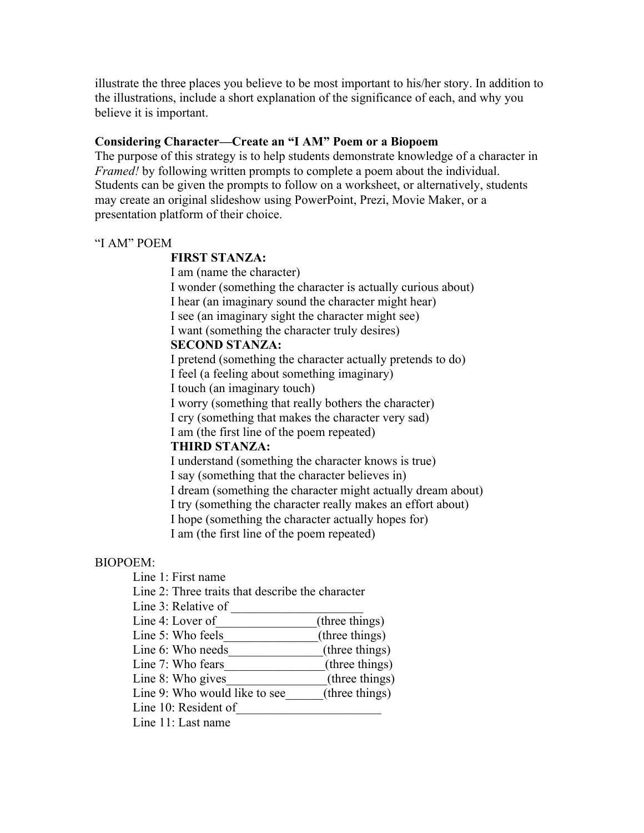illustrate the three places you believe to be most important to his/her story. In addition to the illustrations, include a short explanation of the significance of each, and why you believe it is important.

#### **Considering Character—Create an "I AM" Poem or a Biopoem**

The purpose of this strategy is to help students demonstrate knowledge of a character in *Framed!* by following written prompts to complete a poem about the individual. Students can be given the prompts to follow on a worksheet, or alternatively, students may create an original slideshow using PowerPoint, Prezi, Movie Maker, or a presentation platform of their choice.

#### "I AM" POEM

#### **FIRST STANZA:**

I am (name the character)

I wonder (something the character is actually curious about) I hear (an imaginary sound the character might hear) I see (an imaginary sight the character might see) I want (something the character truly desires) **SECOND STANZA:**  I pretend (something the character actually pretends to do)

I feel (a feeling about something imaginary)

I touch (an imaginary touch)

I worry (something that really bothers the character)

I cry (something that makes the character very sad)

I am (the first line of the poem repeated)

#### **THIRD STANZA:**

I understand (something the character knows is true)

I say (something that the character believes in)

I dream (something the character might actually dream about)

I try (something the character really makes an effort about)

I hope (something the character actually hopes for)

I am (the first line of the poem repeated)

#### BIOPOEM:

Line 1: First name

Line 2: Three traits that describe the character

Line 3: Relative of

- Line 4: Lover of (three things)
- Line 5: Who feels (three things)
- Line 6: Who needs (three things)
- Line 7: Who fears (three things)
- Line 8: Who gives (three things)
- Line 9: Who would like to see  $(three \ things)$
- Line  $10$ : Resident of
- Line 11: Last name